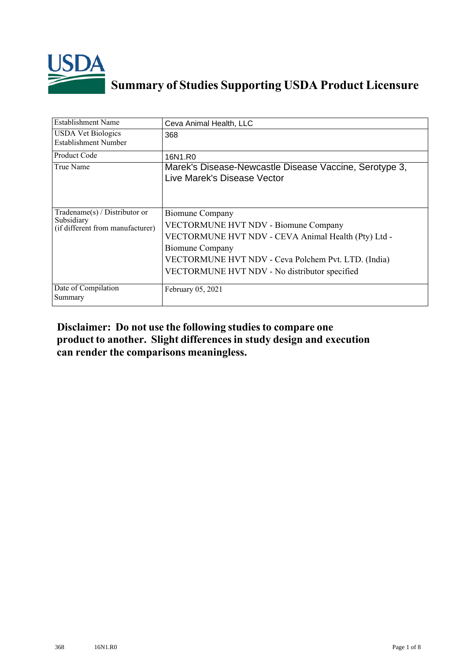

## **Summary of Studies Supporting USDA Product Licensure**

| <b>Establishment Name</b>                                                          | Ceva Animal Health, LLC                                                                                                                                                                                                                                 |
|------------------------------------------------------------------------------------|---------------------------------------------------------------------------------------------------------------------------------------------------------------------------------------------------------------------------------------------------------|
| <b>USDA Vet Biologics</b><br><b>Establishment Number</b>                           | 368                                                                                                                                                                                                                                                     |
| Product Code                                                                       | 16N1.R0                                                                                                                                                                                                                                                 |
| True Name                                                                          | Marek's Disease-Newcastle Disease Vaccine, Serotype 3,<br>Live Marek's Disease Vector                                                                                                                                                                   |
| Tradename $(s)$ / Distributor or<br>Subsidiary<br>(if different from manufacturer) | <b>Biomune Company</b><br>VECTORMUNE HVT NDV - Biomune Company<br>VECTORMUNE HVT NDV - CEVA Animal Health (Pty) Ltd -<br><b>Biomune Company</b><br>VECTORMUNE HVT NDV - Ceva Polchem Pvt. LTD. (India)<br>VECTORMUNE HVT NDV - No distributor specified |
| Date of Compilation<br>Summary                                                     | February 05, 2021                                                                                                                                                                                                                                       |

## **Disclaimer: Do not use the following studiesto compare one product to another. Slight differencesin study design and execution can render the comparisons meaningless.**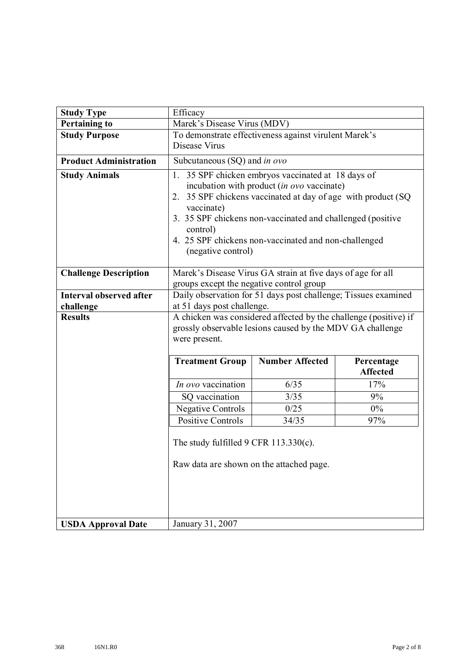| <b>Study Type</b>             | Efficacy                                                                                                                                       |                                                               |       |  |  |
|-------------------------------|------------------------------------------------------------------------------------------------------------------------------------------------|---------------------------------------------------------------|-------|--|--|
| <b>Pertaining to</b>          | Marek's Disease Virus (MDV)                                                                                                                    |                                                               |       |  |  |
| <b>Study Purpose</b>          |                                                                                                                                                | To demonstrate effectiveness against virulent Marek's         |       |  |  |
|                               | Disease Virus                                                                                                                                  |                                                               |       |  |  |
| <b>Product Administration</b> | Subcutaneous (SQ) and in ovo                                                                                                                   |                                                               |       |  |  |
| <b>Study Animals</b>          |                                                                                                                                                | 1. 35 SPF chicken embryos vaccinated at 18 days of            |       |  |  |
|                               |                                                                                                                                                | incubation with product (in ovo vaccinate)                    |       |  |  |
|                               | vaccinate)                                                                                                                                     | 2. 35 SPF chickens vaccinated at day of age with product (SQ) |       |  |  |
|                               | 3. 35 SPF chickens non-vaccinated and challenged (positive<br>control)                                                                         |                                                               |       |  |  |
|                               | 4. 25 SPF chickens non-vaccinated and non-challenged<br>(negative control)                                                                     |                                                               |       |  |  |
| <b>Challenge Description</b>  | Marek's Disease Virus GA strain at five days of age for all                                                                                    |                                                               |       |  |  |
|                               | groups except the negative control group                                                                                                       |                                                               |       |  |  |
| Interval observed after       | Daily observation for 51 days post challenge; Tissues examined                                                                                 |                                                               |       |  |  |
| challenge                     | at 51 days post challenge.                                                                                                                     |                                                               |       |  |  |
| <b>Results</b>                | A chicken was considered affected by the challenge (positive) if<br>grossly observable lesions caused by the MDV GA challenge<br>were present. |                                                               |       |  |  |
|                               | <b>Number Affected</b><br><b>Treatment Group</b><br>Percentage<br><b>Affected</b>                                                              |                                                               |       |  |  |
|                               | In ovo vaccination                                                                                                                             | 6/35                                                          | 17%   |  |  |
|                               | SQ vaccination                                                                                                                                 | 3/35                                                          | 9%    |  |  |
|                               | <b>Negative Controls</b>                                                                                                                       | 0/25                                                          | $0\%$ |  |  |
|                               | <b>Positive Controls</b>                                                                                                                       | 34/35                                                         | 97%   |  |  |
|                               | The study fulfilled $9$ CFR 113.330(c).<br>Raw data are shown on the attached page.                                                            |                                                               |       |  |  |
| <b>USDA Approval Date</b>     | January 31, 2007                                                                                                                               |                                                               |       |  |  |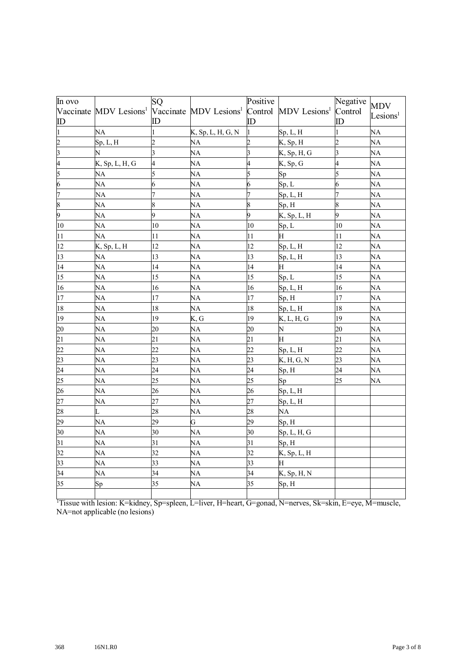| In ovo<br>ID            | Vaccinate MDV Lesions <sup>1</sup> Vaccinate MDV Lesions <sup>1</sup> Control | SQ<br>ID        |                   | Positive<br>ID  | MDV Lesions <sup>1</sup> | Negative<br>Control<br>ID | <b>MDV</b><br>Lesions <sup>1</sup> |
|-------------------------|-------------------------------------------------------------------------------|-----------------|-------------------|-----------------|--------------------------|---------------------------|------------------------------------|
| $\mathbf{1}$            | NA                                                                            |                 | K, Sp, L, H, G, N |                 | Sp, L, H                 | 1                         | NA                                 |
| $\overline{2}$          | Sp, L, H                                                                      | $\overline{2}$  | NA                |                 | K, Sp, H                 | $\overline{c}$            | <b>NA</b>                          |
| $\overline{\mathbf{3}}$ | N                                                                             | $\overline{3}$  | NA                | $\overline{3}$  | K, Sp, H, G              | $\overline{\mathbf{3}}$   | NA                                 |
| $\overline{A}$          | K, Sp, L, H, G                                                                | 4               | NA                | 4               | K, Sp, G                 | $\overline{4}$            | NA                                 |
| 5                       | NA                                                                            | 5               | NA                | 5               | Sp <sub>1</sub>          | 5                         | <b>NA</b>                          |
| 6                       | NA                                                                            | 6               | NA                | 6               | Sp, L                    | 6                         | NA                                 |
| 7                       | NA                                                                            | 7               | NA                | 7               | Sp, L, H                 | $\overline{7}$            | NA                                 |
| $\overline{\mathbf{8}}$ | NA                                                                            | 8               | NA                | 8               | Sp, H                    | 8                         | <b>NA</b>                          |
| 9                       | NA                                                                            | 9               | NA                | 9               | K, Sp, L, H              | 9                         | NA                                 |
| 10                      | NA                                                                            | 10              | NA                | 10              | Sp, L                    | 10                        | NA                                 |
| 11                      | NA                                                                            | 11              | NA                | 11              | H                        | 11                        | NA                                 |
| 12                      | K, Sp, L, H                                                                   | 12              | NA                | 12              | Sp, L, H                 | 12                        | NA                                 |
| 13                      | NA                                                                            | 13              | NA                | 13              | Sp, L, H                 | 13                        | NA                                 |
| 14                      | NA                                                                            | 14              | NA                | 14              | Н                        | 14                        | NA                                 |
| 15                      | NA                                                                            | 15              | NA                | 15              | Sp, L                    | 15                        | NA                                 |
| 16                      | NA                                                                            | 16              | NA                | 16              | Sp, L, H                 | 16                        | NA                                 |
| 17                      | NA                                                                            | 17              | NA                | 17              | Sp, H                    | 17                        | <b>NA</b>                          |
| 18                      | NA                                                                            | 18              | NA                | 18              | Sp, L, H                 | 18                        | NA                                 |
| 19                      | NA                                                                            | 19              | K, G              | 19              | K, L, H, G               | 19                        | N <sub>A</sub>                     |
| 20                      | NA                                                                            | 20              | NA                | 20              | N                        | 20                        | NA                                 |
| 21                      | NA                                                                            | $\overline{21}$ | NA                | $\overline{21}$ | H                        | 21                        | <b>NA</b>                          |
| 22                      | NA                                                                            | 22              | NA                | 22              | Sp, L, H                 | 22                        | NA                                 |
| 23                      | NA                                                                            | 23              | NA                | 23              | K, H, G, N               | 23                        | NA                                 |
| 24                      | NA                                                                            | 24              | NA                | 24              | Sp, H                    | 24                        | NA                                 |
| 25                      | NA                                                                            | 25              | NA                | 25              | Sp                       | 25                        | <b>NA</b>                          |
| 26                      | NA                                                                            | 26              | NA                | 26              | Sp, L, H                 |                           |                                    |
| 27                      | NA                                                                            | 27              | NA                | 27              | Sp, L, H                 |                           |                                    |
| 28                      | L                                                                             | 28              | NA                | 28              | NA                       |                           |                                    |
| 29                      | NA                                                                            | 29              | G                 | 29              | Sp, H                    |                           |                                    |
| 30                      | NA                                                                            | 30              | NA                | 30              | Sp, L, H, G              |                           |                                    |
| 31                      | NA                                                                            | 31              | NA                | 31              | Sp, H                    |                           |                                    |
| 32                      | NA                                                                            | 32              | NA                | 32              | K, Sp, L, H              |                           |                                    |
| 33                      | NA                                                                            | 33              | NA                | 33              | H                        |                           |                                    |
| 34                      | NA                                                                            | 34              | NA                | 34              | K, Sp, H, N              |                           |                                    |
| 35                      | Sp                                                                            | 35              | NA                | 35              | Sp, H                    |                           |                                    |

<sup>1</sup>Tissue with lesion: K=kidney, Sp=spleen, L=liver, H=heart, G=gonad, N=nerves, Sk=skin, E=eye, M=muscle, NA=not applicable (no lesions)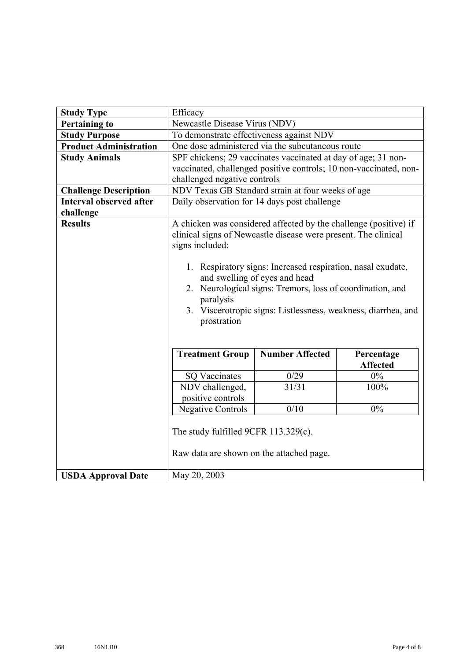| <b>Study Type</b>              | Efficacy                                                                                                                                                                                                                                                                                                                                                                                                        |                                                                                                   |       |  |  |
|--------------------------------|-----------------------------------------------------------------------------------------------------------------------------------------------------------------------------------------------------------------------------------------------------------------------------------------------------------------------------------------------------------------------------------------------------------------|---------------------------------------------------------------------------------------------------|-------|--|--|
| <b>Pertaining to</b>           | Newcastle Disease Virus (NDV)                                                                                                                                                                                                                                                                                                                                                                                   |                                                                                                   |       |  |  |
| <b>Study Purpose</b>           | To demonstrate effectiveness against NDV                                                                                                                                                                                                                                                                                                                                                                        |                                                                                                   |       |  |  |
| <b>Product Administration</b>  |                                                                                                                                                                                                                                                                                                                                                                                                                 | One dose administered via the subcutaneous route                                                  |       |  |  |
| <b>Study Animals</b>           |                                                                                                                                                                                                                                                                                                                                                                                                                 | SPF chickens; 29 vaccinates vaccinated at day of age; 31 non-                                     |       |  |  |
|                                |                                                                                                                                                                                                                                                                                                                                                                                                                 | vaccinated, challenged positive controls; 10 non-vaccinated, non-<br>challenged negative controls |       |  |  |
| <b>Challenge Description</b>   |                                                                                                                                                                                                                                                                                                                                                                                                                 | NDV Texas GB Standard strain at four weeks of age                                                 |       |  |  |
| <b>Interval observed after</b> |                                                                                                                                                                                                                                                                                                                                                                                                                 | Daily observation for 14 days post challenge                                                      |       |  |  |
| challenge                      |                                                                                                                                                                                                                                                                                                                                                                                                                 |                                                                                                   |       |  |  |
| <b>Results</b>                 | A chicken was considered affected by the challenge (positive) if<br>clinical signs of Newcastle disease were present. The clinical<br>signs included:<br>1. Respiratory signs: Increased respiration, nasal exudate,<br>and swelling of eyes and head<br>2. Neurological signs: Tremors, loss of coordination, and<br>paralysis<br>3. Viscerotropic signs: Listlessness, weakness, diarrhea, and<br>prostration |                                                                                                   |       |  |  |
|                                | <b>Number Affected</b><br><b>Treatment Group</b><br>Percentage                                                                                                                                                                                                                                                                                                                                                  |                                                                                                   |       |  |  |
|                                | <b>Affected</b>                                                                                                                                                                                                                                                                                                                                                                                                 |                                                                                                   |       |  |  |
|                                | <b>SQ Vaccinates</b>                                                                                                                                                                                                                                                                                                                                                                                            | 0/29                                                                                              | $0\%$ |  |  |
|                                | NDV challenged,<br>31/31<br>100%                                                                                                                                                                                                                                                                                                                                                                                |                                                                                                   |       |  |  |
|                                | positive controls                                                                                                                                                                                                                                                                                                                                                                                               |                                                                                                   |       |  |  |
|                                | 0/10<br>$0\%$<br><b>Negative Controls</b>                                                                                                                                                                                                                                                                                                                                                                       |                                                                                                   |       |  |  |
|                                | The study fulfilled 9CFR 113.329(c).<br>Raw data are shown on the attached page.                                                                                                                                                                                                                                                                                                                                |                                                                                                   |       |  |  |
| <b>USDA Approval Date</b>      | May 20, 2003                                                                                                                                                                                                                                                                                                                                                                                                    |                                                                                                   |       |  |  |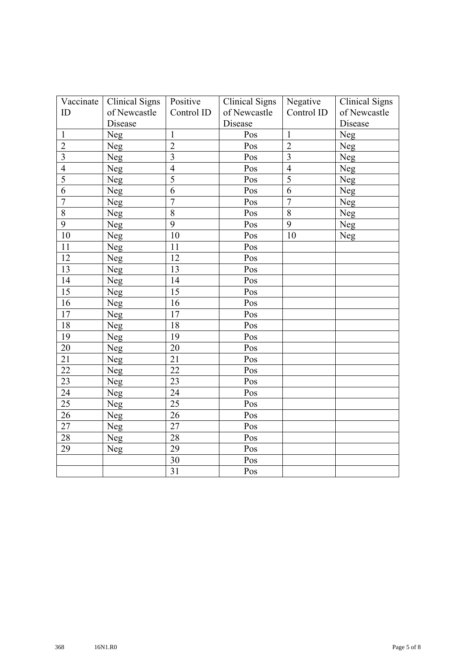| Vaccinate      | <b>Clinical Signs</b> | Positive       | <b>Clinical Signs</b> | Negative       | <b>Clinical Signs</b> |
|----------------|-----------------------|----------------|-----------------------|----------------|-----------------------|
| ID             | of Newcastle          | Control ID     | of Newcastle          | Control ID     | of Newcastle          |
|                | Disease               |                | Disease               |                | Disease               |
| $\mathbf{1}$   | Neg                   | $\mathbf{1}$   | Pos                   | $\mathbf{1}$   | Neg                   |
| $\overline{2}$ | Neg                   | $\overline{2}$ | Pos                   | $\overline{2}$ | Neg                   |
| $\overline{3}$ | Neg                   | $\overline{3}$ | Pos                   | $\overline{3}$ | Neg                   |
| $\overline{4}$ | <b>Neg</b>            | $\overline{4}$ | Pos                   | $\overline{4}$ | <b>Neg</b>            |
| $\overline{5}$ | Neg                   | $\overline{5}$ | Pos                   | $\overline{5}$ | Neg                   |
| 6              | Neg                   | 6              | Pos                   | 6              | <b>Neg</b>            |
| $\overline{7}$ | Neg                   | $\overline{7}$ | Pos                   | $\overline{7}$ | Neg                   |
| 8              | Neg                   | 8              | Pos                   | 8              | <b>Neg</b>            |
| 9              | Neg                   | 9              | Pos                   | 9              | Neg                   |
| 10             | Neg                   | 10             | Pos                   | 10             | Neg                   |
| 11             | Neg                   | 11             | Pos                   |                |                       |
| 12             | Neg                   | 12             | Pos                   |                |                       |
| 13             | Neg                   | 13             | Pos                   |                |                       |
| 14             | Neg                   | 14             | Pos                   |                |                       |
| 15             | Neg                   | 15             | Pos                   |                |                       |
| 16             | Neg                   | 16             | Pos                   |                |                       |
| 17             | Neg                   | 17             | Pos                   |                |                       |
| 18             | Neg                   | 18             | Pos                   |                |                       |
| 19             | Neg                   | 19             | Pos                   |                |                       |
| 20             | Neg                   | 20             | Pos                   |                |                       |
| 21             | Neg                   | 21             | Pos                   |                |                       |
| 22             | Neg                   | 22             | Pos                   |                |                       |
| 23             | Neg                   | 23             | Pos                   |                |                       |
| 24             | Neg                   | 24             | Pos                   |                |                       |
| 25             | Neg                   | 25             | Pos                   |                |                       |
| 26             | Neg                   | 26             | Pos                   |                |                       |
| 27             | Neg                   | 27             | Pos                   |                |                       |
| 28             | Neg                   | 28             | Pos                   |                |                       |
| 29             | Neg                   | 29             | Pos                   |                |                       |
|                |                       | 30             | Pos                   |                |                       |
|                |                       | 31             | Pos                   |                |                       |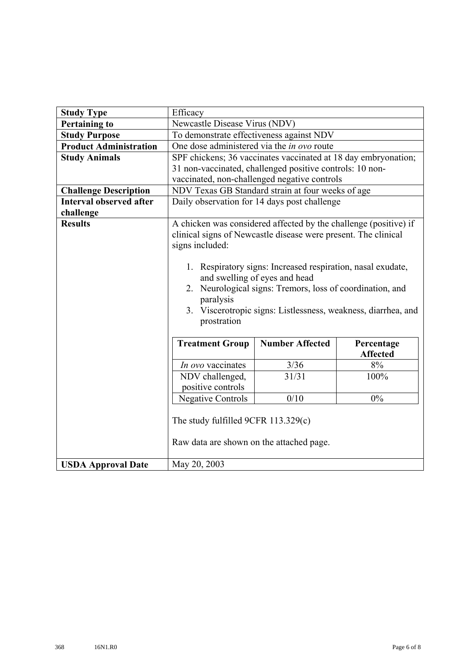| <b>Study Type</b>              | Efficacy                                                                                                                                                                                                                                                                                                                                                                                                        |                                                                |                 |  |  |
|--------------------------------|-----------------------------------------------------------------------------------------------------------------------------------------------------------------------------------------------------------------------------------------------------------------------------------------------------------------------------------------------------------------------------------------------------------------|----------------------------------------------------------------|-----------------|--|--|
| <b>Pertaining to</b>           | Newcastle Disease Virus (NDV)                                                                                                                                                                                                                                                                                                                                                                                   |                                                                |                 |  |  |
| <b>Study Purpose</b>           | To demonstrate effectiveness against NDV                                                                                                                                                                                                                                                                                                                                                                        |                                                                |                 |  |  |
| <b>Product Administration</b>  | One dose administered via the <i>in ovo</i> route                                                                                                                                                                                                                                                                                                                                                               |                                                                |                 |  |  |
| <b>Study Animals</b>           |                                                                                                                                                                                                                                                                                                                                                                                                                 | SPF chickens; 36 vaccinates vaccinated at 18 day embryonation; |                 |  |  |
|                                | 31 non-vaccinated, challenged positive controls: 10 non-                                                                                                                                                                                                                                                                                                                                                        |                                                                |                 |  |  |
|                                |                                                                                                                                                                                                                                                                                                                                                                                                                 | vaccinated, non-challenged negative controls                   |                 |  |  |
| <b>Challenge Description</b>   |                                                                                                                                                                                                                                                                                                                                                                                                                 | NDV Texas GB Standard strain at four weeks of age              |                 |  |  |
| <b>Interval observed after</b> |                                                                                                                                                                                                                                                                                                                                                                                                                 | Daily observation for 14 days post challenge                   |                 |  |  |
| challenge                      |                                                                                                                                                                                                                                                                                                                                                                                                                 |                                                                |                 |  |  |
| <b>Results</b>                 | A chicken was considered affected by the challenge (positive) if<br>clinical signs of Newcastle disease were present. The clinical<br>signs included:<br>1. Respiratory signs: Increased respiration, nasal exudate,<br>and swelling of eyes and head<br>2. Neurological signs: Tremors, loss of coordination, and<br>paralysis<br>3. Viscerotropic signs: Listlessness, weakness, diarrhea, and<br>prostration |                                                                |                 |  |  |
|                                | <b>Treatment Group</b>                                                                                                                                                                                                                                                                                                                                                                                          | <b>Number Affected</b>                                         | Percentage      |  |  |
|                                |                                                                                                                                                                                                                                                                                                                                                                                                                 |                                                                | <b>Affected</b> |  |  |
|                                | In ovo vaccinates                                                                                                                                                                                                                                                                                                                                                                                               | 3/36                                                           | 8%              |  |  |
|                                | NDV challenged,<br>31/31<br>100%<br>positive controls                                                                                                                                                                                                                                                                                                                                                           |                                                                |                 |  |  |
|                                | 0/10<br>$0\%$<br><b>Negative Controls</b>                                                                                                                                                                                                                                                                                                                                                                       |                                                                |                 |  |  |
|                                |                                                                                                                                                                                                                                                                                                                                                                                                                 |                                                                |                 |  |  |
|                                | The study fulfilled 9CFR 113.329(c)                                                                                                                                                                                                                                                                                                                                                                             |                                                                |                 |  |  |
|                                | Raw data are shown on the attached page.                                                                                                                                                                                                                                                                                                                                                                        |                                                                |                 |  |  |
| <b>USDA Approval Date</b>      | May 20, 2003                                                                                                                                                                                                                                                                                                                                                                                                    |                                                                |                 |  |  |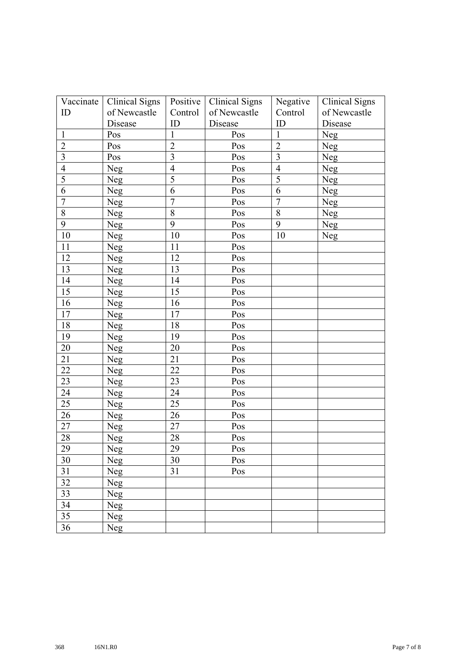| Vaccinate      | <b>Clinical Signs</b> | Positive       | <b>Clinical Signs</b> | Negative       | <b>Clinical Signs</b> |
|----------------|-----------------------|----------------|-----------------------|----------------|-----------------------|
| ID             | of Newcastle          | Control        | of Newcastle          | Control        | of Newcastle          |
|                | Disease               | ID             | Disease               | ID             | Disease               |
| $\mathbf{1}$   | Pos                   | $\mathbf{1}$   | Pos                   | $\mathbf{1}$   | Neg                   |
| $\overline{2}$ | Pos                   | $\overline{2}$ | Pos                   | $\sqrt{2}$     | Neg                   |
| $\overline{3}$ | Pos                   | 3              | Pos                   | 3              | Neg                   |
| $\overline{4}$ | Neg                   | $\overline{4}$ | Pos                   | $\overline{4}$ | Neg                   |
| 5              | Neg                   | 5              | Pos                   | 5              | Neg                   |
| 6              | Neg                   | 6              | Pos                   | 6              | Neg                   |
| $\overline{7}$ | Neg                   | $\overline{7}$ | Pos                   | $\overline{7}$ | Neg                   |
| $8\,$          | Neg                   | 8              | Pos                   | $\, 8$         | Neg                   |
| 9              | Neg                   | 9              | Pos                   | 9              | Neg                   |
| 10             | Neg                   | 10             | Pos                   | 10             | Neg                   |
| 11             | Neg                   | 11             | Pos                   |                |                       |
| 12             | Neg                   | 12             | Pos                   |                |                       |
| 13             | Neg                   | 13             | Pos                   |                |                       |
| 14             | Neg                   | 14             | Pos                   |                |                       |
| 15             | Neg                   | 15             | Pos                   |                |                       |
| 16             | Neg                   | 16             | Pos                   |                |                       |
| 17             | Neg                   | 17             | Pos                   |                |                       |
| 18             | Neg                   | 18             | Pos                   |                |                       |
| 19             | Neg                   | 19             | Pos                   |                |                       |
| 20             | Neg                   | 20             | Pos                   |                |                       |
| 21             | Neg                   | 21             | Pos                   |                |                       |
| 22             | Neg                   | 22             | Pos                   |                |                       |
| 23             | Neg                   | 23             | Pos                   |                |                       |
| 24             | Neg                   | 24             | Pos                   |                |                       |
| 25             | Neg                   | 25             | Pos                   |                |                       |
| 26             | Neg                   | 26             | Pos                   |                |                       |
| 27             | Neg                   | 27             | Pos                   |                |                       |
| 28             | Neg                   | 28             | Pos                   |                |                       |
| 29             | Neg                   | 29             | Pos                   |                |                       |
| 30             | Neg                   | 30             | Pos                   |                |                       |
| 31             | Neg                   | 31             | Pos                   |                |                       |
| 32             | Neg                   |                |                       |                |                       |
| 33             | Neg                   |                |                       |                |                       |
| 34             | Neg                   |                |                       |                |                       |
| 35             | Neg                   |                |                       |                |                       |
| 36             | <b>Neg</b>            |                |                       |                |                       |